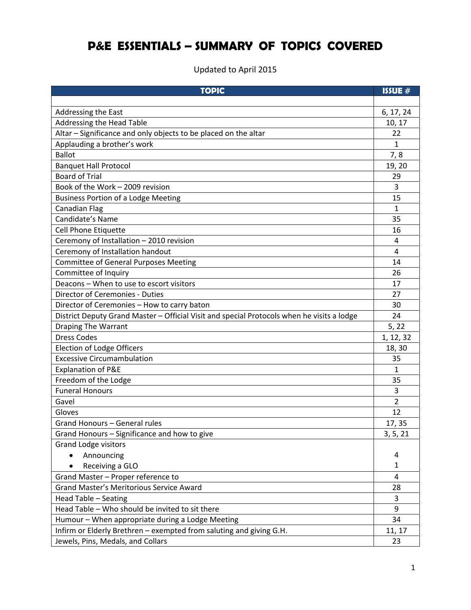## **P&E ESSENTIALS – SUMMARY OF TOPICS COVERED**

Updated to April 2015

| <b>TOPIC</b>                                                                               | ISSUE #   |
|--------------------------------------------------------------------------------------------|-----------|
|                                                                                            |           |
| Addressing the East                                                                        | 6, 17, 24 |
| Addressing the Head Table                                                                  | 10, 17    |
| Altar - Significance and only objects to be placed on the altar                            | 22        |
| Applauding a brother's work                                                                | 1         |
| <b>Ballot</b>                                                                              | 7,8       |
| <b>Banquet Hall Protocol</b>                                                               | 19, 20    |
| <b>Board of Trial</b>                                                                      | 29        |
| Book of the Work - 2009 revision                                                           | 3         |
| <b>Business Portion of a Lodge Meeting</b>                                                 | 15        |
| <b>Canadian Flag</b>                                                                       | 1         |
| Candidate's Name                                                                           | 35        |
| Cell Phone Etiquette                                                                       | 16        |
| Ceremony of Installation - 2010 revision                                                   | 4         |
| Ceremony of Installation handout                                                           | 4         |
| <b>Committee of General Purposes Meeting</b>                                               | 14        |
| Committee of Inquiry                                                                       | 26        |
| Deacons - When to use to escort visitors                                                   | 17        |
| Director of Ceremonies - Duties                                                            | 27        |
| Director of Ceremonies - How to carry baton                                                | 30        |
| District Deputy Grand Master - Official Visit and special Protocols when he visits a lodge | 24        |
| <b>Draping The Warrant</b>                                                                 | 5, 22     |
| <b>Dress Codes</b>                                                                         | 1, 12, 32 |
| <b>Election of Lodge Officers</b>                                                          | 18, 30    |
| <b>Excessive Circumambulation</b>                                                          | 35        |
| Explanation of P&E                                                                         | 1         |
| Freedom of the Lodge                                                                       | 35        |
| <b>Funeral Honours</b>                                                                     | 3         |
| Gavel                                                                                      | 2         |
| Gloves                                                                                     | 12        |
| Grand Honours - General rules                                                              | 17, 35    |
| Grand Honours - Significance and how to give                                               | 3, 5, 21  |
| <b>Grand Lodge visitors</b>                                                                |           |
| Announcing                                                                                 | 4         |
| Receiving a GLO                                                                            | 1         |
| Grand Master - Proper reference to                                                         | 4         |
| <b>Grand Master's Meritorious Service Award</b>                                            | 28        |
| Head Table - Seating                                                                       | 3         |
| Head Table - Who should be invited to sit there                                            | 9         |
| Humour - When appropriate during a Lodge Meeting                                           | 34        |
| Infirm or Elderly Brethren - exempted from saluting and giving G.H.                        | 11, 17    |
| Jewels, Pins, Medals, and Collars                                                          | 23        |